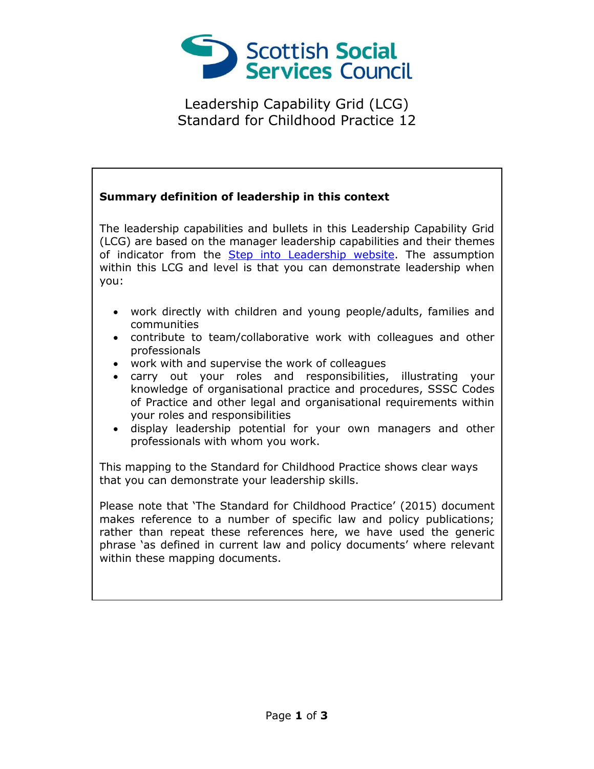

Leadership Capability Grid (LCG) Standard for Childhood Practice 12

## **Summary definition of leadership in this context**

The leadership capabilities and bullets in this Leadership Capability Grid (LCG) are based on the manager leadership capabilities and their themes of indicator from the [Step into Leadership website.](http://www.stepintoleadership.info/) The assumption within this LCG and level is that you can demonstrate leadership when you:

- work directly with children and young people/adults, families and communities
- contribute to team/collaborative work with colleagues and other professionals
- work with and supervise the work of colleagues
- carry out your roles and responsibilities, illustrating your knowledge of organisational practice and procedures, SSSC Codes of Practice and other legal and organisational requirements within your roles and responsibilities
- display leadership potential for your own managers and other professionals with whom you work.

This mapping to the Standard for Childhood Practice shows clear ways that you can demonstrate your leadership skills.

Please note that 'The Standard for Childhood Practice' (2015) document makes reference to a number of specific law and policy publications; rather than repeat these references here, we have used the generic phrase 'as defined in current law and policy documents' where relevant within these mapping documents.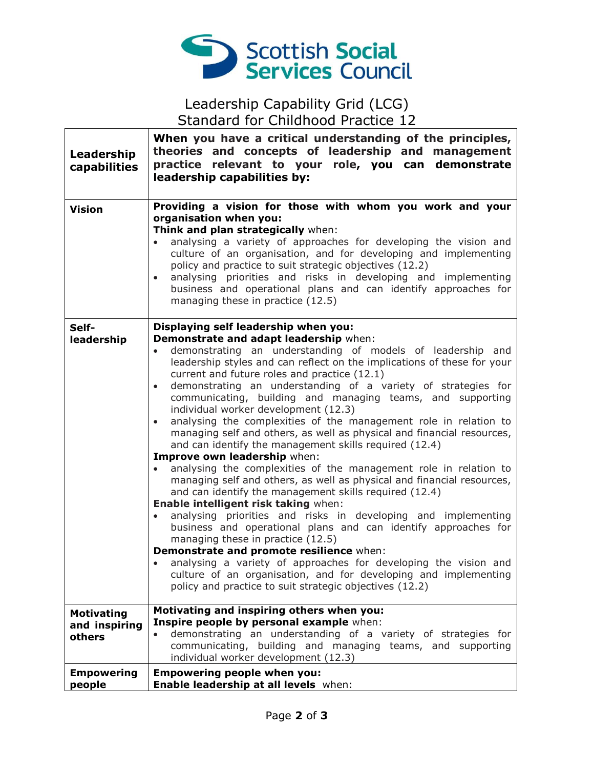

## Leadership Capability Grid (LCG) Standard for Childhood Practice 12

| Leadership<br>capabilities                   | When you have a critical understanding of the principles,<br>theories and concepts of leadership and management<br>practice relevant to your role, you can demonstrate<br>leadership capabilities by:                                                                                                                                                                                                                                                                                                                                                                                                                                                                                                                                                                                                                                                                                                                                                                                                                                                                                                                                                                                                                                                                                                                                                                                                           |
|----------------------------------------------|-----------------------------------------------------------------------------------------------------------------------------------------------------------------------------------------------------------------------------------------------------------------------------------------------------------------------------------------------------------------------------------------------------------------------------------------------------------------------------------------------------------------------------------------------------------------------------------------------------------------------------------------------------------------------------------------------------------------------------------------------------------------------------------------------------------------------------------------------------------------------------------------------------------------------------------------------------------------------------------------------------------------------------------------------------------------------------------------------------------------------------------------------------------------------------------------------------------------------------------------------------------------------------------------------------------------------------------------------------------------------------------------------------------------|
| <b>Vision</b>                                | Providing a vision for those with whom you work and your<br>organisation when you:<br>Think and plan strategically when:<br>analysing a variety of approaches for developing the vision and<br>culture of an organisation, and for developing and implementing<br>policy and practice to suit strategic objectives (12.2)<br>analysing priorities and risks in developing and implementing<br>business and operational plans and can identify approaches for<br>managing these in practice (12.5)                                                                                                                                                                                                                                                                                                                                                                                                                                                                                                                                                                                                                                                                                                                                                                                                                                                                                                               |
| Self-<br>leadership                          | Displaying self leadership when you:<br>Demonstrate and adapt leadership when:<br>demonstrating an understanding of models of leadership and<br>leadership styles and can reflect on the implications of these for your<br>current and future roles and practice (12.1)<br>demonstrating an understanding of a variety of strategies for<br>$\bullet$<br>communicating, building and managing teams, and supporting<br>individual worker development (12.3)<br>analysing the complexities of the management role in relation to<br>$\bullet$<br>managing self and others, as well as physical and financial resources,<br>and can identify the management skills required (12.4)<br>Improve own leadership when:<br>analysing the complexities of the management role in relation to<br>$\bullet$<br>managing self and others, as well as physical and financial resources,<br>and can identify the management skills required (12.4)<br>Enable intelligent risk taking when:<br>analysing priorities and risks in developing and implementing<br>$\bullet$<br>business and operational plans and can identify approaches for<br>managing these in practice (12.5)<br>Demonstrate and promote resilience when:<br>analysing a variety of approaches for developing the vision and<br>culture of an organisation, and for developing and implementing<br>policy and practice to suit strategic objectives (12.2) |
| <b>Motivating</b><br>and inspiring<br>others | Motivating and inspiring others when you:<br>Inspire people by personal example when:<br>demonstrating an understanding of a variety of strategies for<br>communicating, building and managing teams, and supporting<br>individual worker development (12.3)                                                                                                                                                                                                                                                                                                                                                                                                                                                                                                                                                                                                                                                                                                                                                                                                                                                                                                                                                                                                                                                                                                                                                    |
| <b>Empowering</b><br>people                  | <b>Empowering people when you:</b><br>Enable leadership at all levels when:                                                                                                                                                                                                                                                                                                                                                                                                                                                                                                                                                                                                                                                                                                                                                                                                                                                                                                                                                                                                                                                                                                                                                                                                                                                                                                                                     |